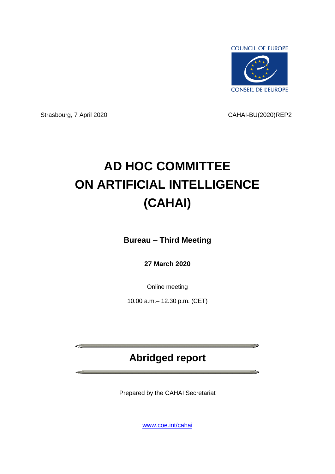

Strasbourg, 7 April 2020 CAHAI-BU(2020)REP2

<u> The Community of the Community of the Community of the Community of the Community of the Community of the Community of the Community of the Community of the Community of the Community of the Community of the Community of</u>

**CONTRACTOR** 

# **AD HOC COMMITTEE ON ARTIFICIAL INTELLIGENCE (CAHAI)**

**Bureau – Third Meeting**

**27 March 2020**

Online meeting

10.00 a.m.– 12.30 p.m. (CET)

# **Abridged report**

Prepared by the CAHAI Secretariat

[www.coe.int/cahai](http://www.coe.int/cahai)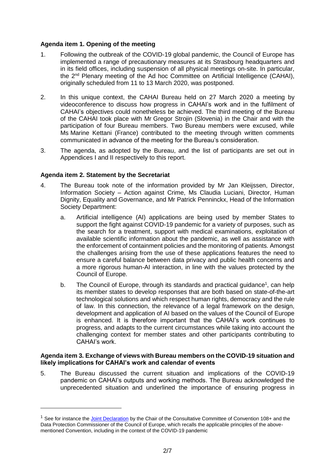# **Agenda item 1. Opening of the meeting**

- 1. Following the outbreak of the COVID-19 global pandemic, the Council of Europe has implemented a range of precautionary measures at its Strasbourg headquarters and in its field offices, including suspension of all physical meetings on-site. In particular, the 2<sup>nd</sup> Plenary meeting of the Ad hoc Committee on Artificial Intelligence (CAHAI), originally scheduled from 11 to 13 March 2020, was postponed.
- 2. In this unique context, the CAHAI Bureau held on 27 March 2020 a meeting by videoconference to discuss how progress in CAHAI's work and in the fulfilment of CAHAI's objectives could nonetheless be achieved. The third meeting of the Bureau of the CAHAI took place with Mr Gregor Strojin (Slovenia) in the Chair and with the participation of four Bureau members. Two Bureau members were excused, while Ms Marine Kettani (France) contributed to the meeting through written comments communicated in advance of the meeting for the Bureau's consideration.
- 3. The agenda, as adopted by the Bureau, and the list of participants are set out in Appendices I and II respectively to this report.

# **Agenda item 2. Statement by the Secretariat**

-

- 4. The Bureau took note of the information provided by Mr Jan Kleijssen, Director, Information Society – Action against Crime, Ms Claudia Luciani, Director, Human Dignity, Equality and Governance, and Mr Patrick Penninckx, Head of the Information Society Department:
	- a. Artificial intelligence (AI) applications are being used by member States to support the fight against COVID-19 pandemic for a variety of purposes, such as the search for a treatment, support with medical examinations, exploitation of available scientific information about the pandemic, as well as assistance with the enforcement of containment policies and the monitoring of patients. Amongst the challenges arising from the use of these applications features the need to ensure a careful balance between data privacy and public health concerns and a more rigorous human-AI interaction, in line with the values protected by the Council of Europe.
	- b. The Council of Europe, through its standards and practical guidance<sup>1</sup>, can help its member states to develop responses that are both based on state-of-the-art technological solutions and which respect human rights, democracy and the rule of law. In this connection, the relevance of a legal framework on the design, development and application of AI based on the values of the Council of Europe is enhanced. It is therefore important that the CAHAI's work continues to progress, and adapts to the current circumstances while taking into account the challenging context for member states and other participants contributing to CAHAI's work.

#### **Agenda item 3. Exchange of views with Bureau members on the COVID-19 situation and likely implications for CAHAI's work and calendar of events**

5. The Bureau discussed the current situation and implications of the COVID-19 pandemic on CAHAI's outputs and working methods. The Bureau acknowledged the unprecedented situation and underlined the importance of ensuring progress in

<sup>&</sup>lt;sup>1</sup> See for instance th[e Joint Declaration](https://rm.coe.int/covid19-joint-statement/16809e09f4) by the Chair of the Consultative Committee of Convention 108+ and the Data Protection Commissioner of the Council of Europe, which recalls the applicable principles of the abovementioned Convention, including in the context of the COVID-19 pandemic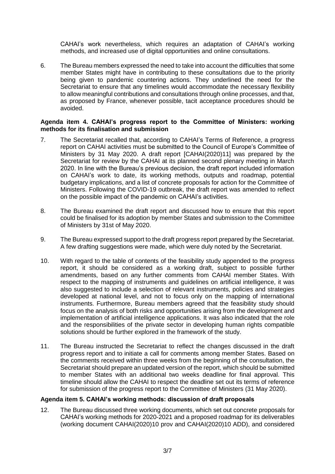CAHAI's work nevertheless, which requires an adaptation of CAHAI's working methods, and increased use of digital opportunities and online consultations.

6. The Bureau members expressed the need to take into account the difficulties that some member States might have in contributing to these consultations due to the priority being given to pandemic countering actions. They underlined the need for the Secretariat to ensure that any timelines would accommodate the necessary flexibility to allow meaningful contributions and consultations through online processes, and that, as proposed by France, whenever possible, tacit acceptance procedures should be avoided.

# **Agenda item 4. CAHAI's progress report to the Committee of Ministers: working methods for its finalisation and submission**

- 7. The Secretariat recalled that, according to CAHAI's Terms of Reference, a progress report on CAHAI activities must be submitted to the Council of Europe's Committee of Ministers by 31 May 2020. A draft report [CAHAI(2020)11] was prepared by the Secretariat for review by the CAHAI at its planned second plenary meeting in March 2020. In line with the Bureau's previous decision, the draft report included information on CAHAI's work to date, its working methods, outputs and roadmap, potential budgetary implications, and a list of concrete proposals for action for the Committee of Ministers. Following the COVID-19 outbreak, the draft report was amended to reflect on the possible impact of the pandemic on CAHAI's activities.
- 8. The Bureau examined the draft report and discussed how to ensure that this report could be finalised for its adoption by member States and submission to the Committee of Ministers by 31st of May 2020.
- 9. The Bureau expressed support to the draft progress report prepared by the Secretariat. A few drafting suggestions were made, which were duly noted by the Secretariat.
- 10. With regard to the table of contents of the feasibility study appended to the progress report, it should be considered as a working draft, subject to possible further amendments, based on any further comments from CAHAI member States. With respect to the mapping of instruments and guidelines on artificial intelligence, it was also suggested to include a selection of relevant instruments, policies and strategies developed at national level, and not to focus only on the mapping of international instruments. Furthermore, Bureau members agreed that the feasibility study should focus on the analysis of both risks and opportunities arising from the development and implementation of artificial intelligence applications. It was also indicated that the role and the responsibilities of the private sector in developing human rights compatible solutions should be further explored in the framework of the study.
- 11. The Bureau instructed the Secretariat to reflect the changes discussed in the draft progress report and to initiate a call for comments among member States. Based on the comments received within three weeks from the beginning of the consultation, the Secretariat should prepare an updated version of the report, which should be submitted to member States with an additional two weeks deadline for final approval. This timeline should allow the CAHAI to respect the deadline set out its terms of reference for submission of the progress report to the Committee of Ministers (31 May 2020).

# **Agenda item 5. CAHAI's working methods: discussion of draft proposals**

12. The Bureau discussed three working documents, which set out concrete proposals for CAHAI's working methods for 2020-2021 and a proposed roadmap for its deliverables (working document CAHAI(2020)10 prov and CAHAI(2020)10 ADD), and considered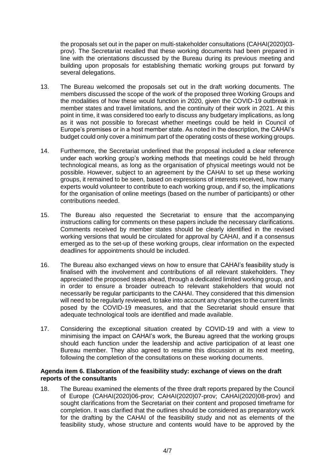the proposals set out in the paper on multi-stakeholder consultations (CAHAI(2020)03 prov). The Secretariat recalled that these working documents had been prepared in line with the orientations discussed by the Bureau during its previous meeting and building upon proposals for establishing thematic working groups put forward by several delegations.

- 13. The Bureau welcomed the proposals set out in the draft working documents. The members discussed the scope of the work of the proposed three Working Groups and the modalities of how these would function in 2020, given the COVID-19 outbreak in member states and travel limitations, and the continuity of their work in 2021. At this point in time, it was considered too early to discuss any budgetary implications, as long as it was not possible to forecast whether meetings could be held in Council of Europe's premises or in a host member state. As noted in the description, the CAHAI's budget could only cover a minimum part of the operating costs of these working groups.
- 14. Furthermore, the Secretariat underlined that the proposal included a clear reference under each working group's working methods that meetings could be held through technological means, as long as the organisation of physical meetings would not be possible. However, subject to an agreement by the CAHAI to set up these working groups, it remained to be seen, based on expressions of interests received, how many experts would volunteer to contribute to each working group, and if so, the implications for the organisation of online meetings (based on the number of participants) or other contributions needed.
- 15. The Bureau also requested the Secretariat to ensure that the accompanying instructions calling for comments on these papers include the necessary clarifications. Comments received by member states should be clearly identified in the revised working versions that would be circulated for approval by CAHAI, and if a consensus emerged as to the set-up of these working groups, clear information on the expected deadlines for appointments should be included.
- 16. The Bureau also exchanged views on how to ensure that CAHAI's feasibility study is finalised with the involvement and contributions of all relevant stakeholders. They appreciated the proposed steps ahead, through a dedicated limited working group, and in order to ensure a broader outreach to relevant stakeholders that would not necessarily be regular participants to the CAHAI. They considered that this dimension will need to be regularly reviewed, to take into account any changes to the current limits posed by the COVID-19 measures, and that the Secretariat should ensure that adequate technological tools are identified and made available.
- 17. Considering the exceptional situation created by COVID-19 and with a view to minimising the impact on CAHAI's work, the Bureau agreed that the working groups should each function under the leadership and active participation of at least one Bureau member. They also agreed to resume this discussion at its next meeting, following the completion of the consultations on these working documents.

# **Agenda item 6. Elaboration of the feasibility study: exchange of views on the draft reports of the consultants**

18. The Bureau examined the elements of the three draft reports prepared by the Council of Europe (CAHAI(2020)06-prov; CAHAI(2020)07-prov; CAHAI(2020)08-prov) and sought clarifications from the Secretariat on their content and proposed timeframe for completion. It was clarified that the outlines should be considered as preparatory work for the drafting by the CAHAI of the feasibility study and not as elements of the feasibility study, whose structure and contents would have to be approved by the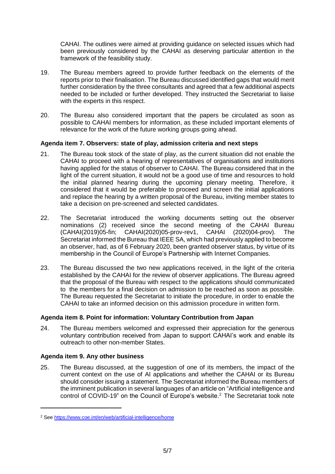CAHAI. The outlines were aimed at providing guidance on selected issues which had been previously considered by the CAHAI as deserving particular attention in the framework of the feasibility study.

- 19. The Bureau members agreed to provide further feedback on the elements of the reports prior to their finalisation. The Bureau discussed identified gaps that would merit further consideration by the three consultants and agreed that a few additional aspects needed to be included or further developed. They instructed the Secretariat to liaise with the experts in this respect.
- 20. The Bureau also considered important that the papers be circulated as soon as possible to CAHAI members for information, as these included important elements of relevance for the work of the future working groups going ahead.

# **Agenda item 7. Observers: state of play, admission criteria and next steps**

- 21. The Bureau took stock of the state of play, as the current situation did not enable the CAHAI to proceed with a hearing of representatives of organisations and institutions having applied for the status of observer to CAHAI. The Bureau considered that in the light of the current situation, it would not be a good use of time and resources to hold the initial planned hearing during the upcoming plenary meeting. Therefore, it considered that it would be preferable to proceed and screen the initial applications and replace the hearing by a written proposal of the Bureau, inviting member states to take a decision on pre-screened and selected candidates.
- 22. The Secretariat introduced the working documents setting out the observer nominations (2) received since the second meeting of the CAHAI Bureau (CAHAI(2019)05-fin; CAHAI(2020)05-prov-rev1, CAHAI (2020)04-prov). The Secretariat informed the Bureau that IEEE SA, which had previously applied to become an observer, had, as of 6 February 2020, been granted observer status, by virtue of its membership in the Council of Europe's Partnership with Internet Companies.
- 23. The Bureau discussed the two new applications received, in the light of the criteria established by the CAHAI for the review of observer applications. The Bureau agreed that the proposal of the Bureau with respect to the applications should communicated to the members for a final decision on admission to be reached as soon as possible. The Bureau requested the Secretariat to initiate the procedure, in order to enable the CAHAI to take an informed decision on this admission procedure in written form.

# **Agenda item 8. Point for information: Voluntary Contribution from Japan**

24. The Bureau members welcomed and expressed their appreciation for the generous voluntary contribution received from Japan to support CAHAI's work and enable its outreach to other non-member States.

# **Agenda item 9. Any other business**

-

25. The Bureau discussed, at the suggestion of one of its members, the impact of the current context on the use of AI applications and whether the CAHAI or its Bureau should consider issuing a statement. The Secretariat informed the Bureau members of the imminent publication in several languages of an article on "Artificial intelligence and control of COVID-19" on the Council of Europe's website. <sup>2</sup> The Secretariat took note

<sup>2</sup> See<https://www.coe.int/en/web/artificial-intelligence/home>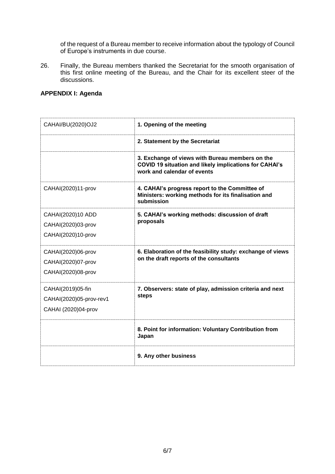of the request of a Bureau member to receive information about the typology of Council of Europe's instruments in due course.

26. Finally, the Bureau members thanked the Secretariat for the smooth organisation of this first online meeting of the Bureau, and the Chair for its excellent steer of the discussions.

# **APPENDIX I: Agenda**

| CAHAI/BU(2020)OJ2                                                   | 1. Opening of the meeting                                                                                                                       |
|---------------------------------------------------------------------|-------------------------------------------------------------------------------------------------------------------------------------------------|
|                                                                     | 2. Statement by the Secretariat                                                                                                                 |
|                                                                     | 3. Exchange of views with Bureau members on the<br><b>COVID 19 situation and likely implications for CAHAI's</b><br>work and calendar of events |
| CAHAI(2020)11-prov                                                  | 4. CAHAI's progress report to the Committee of<br>Ministers: working methods for its finalisation and<br>submission                             |
| CAHAI(2020)10 ADD<br>CAHAI(2020)03-prov<br>CAHAI(2020)10-prov       | 5. CAHAI's working methods: discussion of draft<br>proposals                                                                                    |
| CAHAI(2020)06-prov<br>CAHAI(2020)07-prov<br>CAHAI(2020)08-prov      | 6. Elaboration of the feasibility study: exchange of views<br>on the draft reports of the consultants                                           |
| CAHAI(2019)05-fin<br>CAHAI(2020)05-prov-rev1<br>CAHAI (2020)04-prov | 7. Observers: state of play, admission criteria and next<br>steps                                                                               |
|                                                                     | 8. Point for information: Voluntary Contribution from<br>Japan                                                                                  |
|                                                                     | 9. Any other business                                                                                                                           |